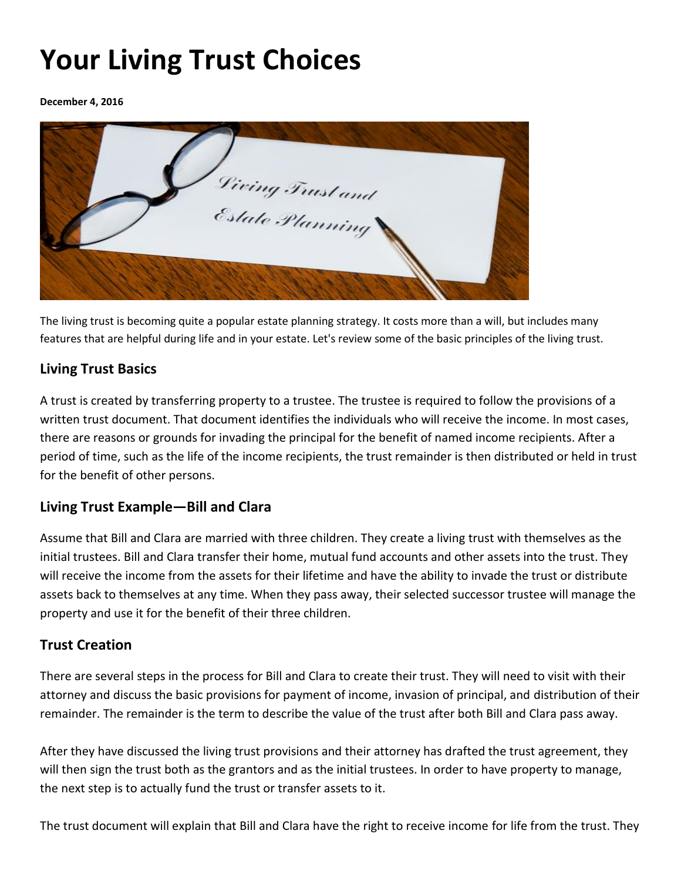# **Your Living Trust Choices**

#### **December 4, 2016**



The living trust is becoming quite a popular estate planning strategy. It costs more than a will, but includes many features that are helpful during life and in your estate. Let's review some of the basic principles of the living trust.

# **Living Trust Basics**

A trust is created by transferring property to a trustee. The trustee is required to follow the provisions of a written trust document. That document identifies the individuals who will receive the income. In most cases, there are reasons or grounds for invading the principal for the benefit of named income recipients. After a period of time, such as the life of the income recipients, the trust remainder is then distributed or held in trust for the benefit of other persons.

# **Living Trust Example—Bill and Clara**

Assume that Bill and Clara are married with three children. They create a living trust with themselves as the initial trustees. Bill and Clara transfer their home, mutual fund accounts and other assets into the trust. They will receive the income from the assets for their lifetime and have the ability to invade the trust or distribute assets back to themselves at any time. When they pass away, their selected successor trustee will manage the property and use it for the benefit of their three children.

### **Trust Creation**

There are several steps in the process for Bill and Clara to create their trust. They will need to visit with their attorney and discuss the basic provisions for payment of income, invasion of principal, and distribution of their remainder. The remainder is the term to describe the value of the trust after both Bill and Clara pass away.

After they have discussed the living trust provisions and their attorney has drafted the trust agreement, they will then sign the trust both as the grantors and as the initial trustees. In order to have property to manage, the next step is to actually fund the trust or transfer assets to it.

The trust document will explain that Bill and Clara have the right to receive income for life from the trust. They